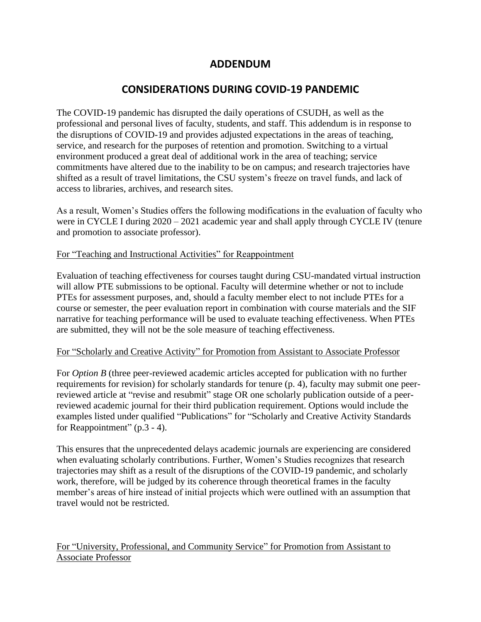## **ADDENDUM**

# **CONSIDERATIONS DURING COVID-19 PANDEMIC**

The COVID-19 pandemic has disrupted the daily operations of CSUDH, as well as the professional and personal lives of faculty, students, and staff. This addendum is in response to the disruptions of COVID-19 and provides adjusted expectations in the areas of teaching, service, and research for the purposes of retention and promotion. Switching to a virtual environment produced a great deal of additional work in the area of teaching; service commitments have altered due to the inability to be on campus; and research trajectories have shifted as a result of travel limitations, the CSU system's freeze on travel funds, and lack of access to libraries, archives, and research sites.

As a result, Women's Studies offers the following modifications in the evaluation of faculty who were in CYCLE I during 2020 – 2021 academic year and shall apply through CYCLE IV (tenure and promotion to associate professor).

#### For "Teaching and Instructional Activities" for Reappointment

 will allow PTE submissions to be optional. Faculty will determine whether or not to include Evaluation of teaching effectiveness for courses taught during CSU-mandated virtual instruction PTEs for assessment purposes, and, should a faculty member elect to not include PTEs for a course or semester, the peer evaluation report in combination with course materials and the SIF narrative for teaching performance will be used to evaluate teaching effectiveness. When PTEs are submitted, they will not be the sole measure of teaching effectiveness.

#### For "Scholarly and Creative Activity" for Promotion from Assistant to Associate Professor

For *Option B* (three peer-reviewed academic articles accepted for publication with no further requirements for revision) for scholarly standards for tenure (p. 4), faculty may submit one peerreviewed article at "revise and resubmit" stage OR one scholarly publication outside of a peerreviewed academic journal for their third publication requirement. Options would include the examples listed under qualified "Publications" for "Scholarly and Creative Activity Standards for Reappointment" (p.3 - 4).

This ensures that the unprecedented delays academic journals are experiencing are considered when evaluating scholarly contributions. Further, Women's Studies recognizes that research trajectories may shift as a result of the disruptions of the COVID-19 pandemic, and scholarly work, therefore, will be judged by its coherence through theoretical frames in the faculty member's areas of hire instead of initial projects which were outlined with an assumption that travel would not be restricted.

### For "University, Professional, and Community Service" for Promotion from Assistant to Associate Professor